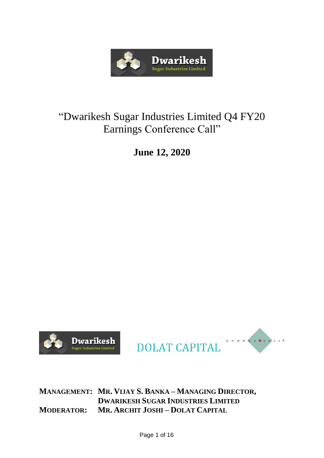

# "Dwarikesh Sugar Industries Limited Q4 FY20 Earnings Conference Call"

**June 12, 2020**





**MANAGEMENT: MR. VIJAY S. BANKA – MANAGING DIRECTOR, DWARIKESH SUGAR INDUSTRIES LIMITED MODERATOR: MR. ARCHIT JOSHI – DOLAT CAPITAL**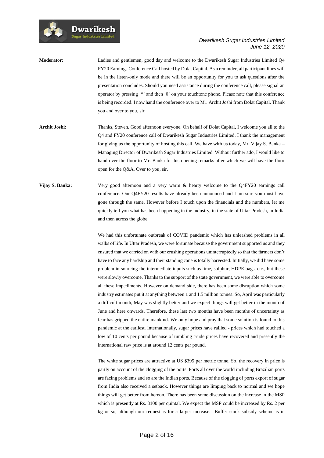

**Moderator:** Ladies and gentlemen, good day and welcome to the Dwarikesh Sugar Industries Limited Q4 FY20 Earnings Conference Call hosted by Dolat Capital. As a reminder, all participant lines will be in the listen-only mode and there will be an opportunity for you to ask questions after the presentation concludes. Should you need assistance during the conference call, please signal an operator by pressing '\*' and then '0' on your touchtone phone. Please note that this conference is being recorded. I now hand the conference over to Mr. Archit Joshi from Dolat Capital. Thank you and over to you, sir.

Dwarikesh

- **Archit Joshi:** Thanks, Steven**.** Good afternoon everyone. On behalf of Dolat Capital, I welcome you all to the Q4 and FY20 conference call of Dwarikesh Sugar Industries Limited. I thank the management for giving us the opportunity of hosting this call. We have with us today, Mr. Vijay S. Banka – Managing Director of Dwarikesh Sugar Industries Limited. Without further ado, I would like to hand over the floor to Mr. Banka for his opening remarks after which we will have the floor open for the Q&A. Over to you, sir.
- **Vijay S. Banka:** Very good afternoon and a very warm & hearty welcome to the Q4FY20 earnings call conference. Our Q4FY20 results have already been announced and I am sure you must have gone through the same. However before I touch upon the financials and the numbers, let me quickly tell you what has been happening in the industry, in the state of Uttar Pradesh, in India and then across the globe

We had this unfortunate outbreak of COVID pandemic which has unleashed problems in all walks of life. In Uttar Pradesh, we were fortunate because the government supported us and they ensured that we carried on with our crushing operations uninterruptedly so that the farmers don't have to face any hardship and their standing cane is totally harvested. Initially, we did have some problem in sourcing the intermediate inputs such as lime, sulphur, HDPE bags, etc., but these were slowly overcome. Thanks to the support of the state government, we were able to overcome all these impediments. However on demand side, there has been some disruption which some industry estimates put it at anything between 1 and 1.5 million tonnes. So, April was particularly a difficult month, May was slightly better and we expect things will get better in the month of June and here onwards. Therefore, these last two months have been months of uncertainty as fear has gripped the entire mankind. We only hope and pray that some solution is found to this pandemic at the earliest. Internationally, sugar prices have rallied - prices which had touched a low of 10 cents per pound because of tumbling crude prices have recovered and presently the international raw price is at around 12 cents per pound.

The white sugar prices are attractive at US \$395 per metric tonne. So, the recovery in price is partly on account of the clogging of the ports. Ports all over the world including Brazilian ports are facing problems and so are the Indian ports. Because of the clogging of ports export of sugar from India also received a setback. However things are limping back to normal and we hope things will get better from hereon. There has been some discussion on the increase in the MSP which is presently at Rs. 3100 per quintal. We expect the MSP could be increased by Rs. 2 per kg or so, although our request is for a larger increase. Buffer stock subsidy scheme is in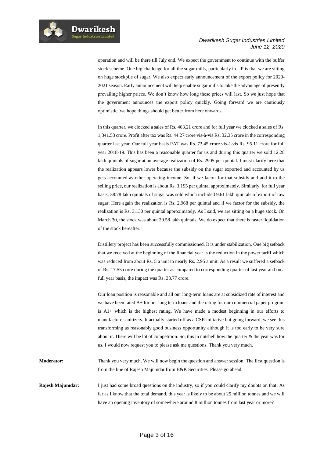

operation and will be there till July end. We expect the government to continue with the buffer stock scheme. One big challenge for all the sugar mills, particularly in UP is that we are sitting on huge stockpile of sugar. We also expect early announcement of the export policy for 2020- 2021 season. Early announcement will help enable sugar mills to take the advantage of presently prevailing higher prices. We don't know how long these prices will last. So we just hope that the government announces the export policy quickly. Going forward we are cautiously optimistic, we hope things should get better from here onwards.

In this quarter, we clocked a sales of Rs. 463.21 crore and for full year we clocked a sales of Rs. 1,341.53 crore. Profit after tax was Rs. 44.27 crore vis-à-vis Rs. 32.35 crore in the corresponding quarter last year. Our full year basis PAT was Rs. 73.45 crore vis-à-vis Rs. 95.11 crore for full year 2018-19. This has been a reasonable quarter for us and during this quarter we sold 12.28 lakh quintals of sugar at an average realization of Rs. 2905 per quintal. I must clarify here that the realization appears lower because the subsidy on the sugar exported and accounted by us gets accounted as other operating income. So, if we factor for that subsidy and add it to the selling price, our realization is about Rs. 3,195 per quintal approximately. Similarly, for full year basis, 38.78 lakh quintals of sugar was sold which included 9.61 lakh quintals of export of raw sugar. Here again the realization is Rs. 2,968 per quintal and if we factor for the subsidy, the realization is Rs. 3,130 per quintal approximately. As I said, we are sitting on a huge stock. On March 30, the stock was about 29.58 lakh quintals. We do expect that there is faster liquidation of the stock hereafter.

Distillery project has been successfully commissioned. It is under stabilization. One big setback that we received at the beginning of the financial year is the reduction in the power tariff which was reduced from about Rs. 5 a unit to nearly Rs. 2.95 a unit. As a result we suffered a setback of Rs. 17.55 crore during the quarter as compared to corresponding quarter of last year and on a full year basis, the impact was Rs. 33.77 crore.

Our loan position is reasonable and all our long-term loans are at subsidized rate of interest and we have been rated A+ for our long term loans and the rating for our commercial paper program is A1+ which is the highest rating. We have made a modest beginning in our efforts to manufacture sanitizers. It actually started off as a CSR initiative but going forward, we see this transforming as reasonably good business opportunity although it is too early to be very sure about it. There will be lot of competition. So, this in nutshell how the quarter & the year was for us. I would now request you to please ask me questions. Thank you very much.

**Moderator:** Thank you very much. We will now begin the question and answer session. The first question is from the line of Rajesh Majumdar from B&K Securities. Please go ahead.

**Rajesh Majumdar:** I just had some broad questions on the industry, so if you could clarify my doubts on that. As far as I know that the total demand, this year is likely to be about 25 million tonnes and we will have an opening inventory of somewhere around 8 million tonnes from last year or more?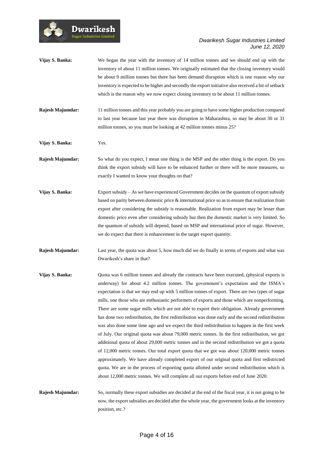

|                  | be about 9 million tonnes but there has been demand disruption which is one reason why our<br>inventory is expected to be higher and secondly the export initiative also received a bit of setback<br>which is the reason why we now expect closing inventory to be about 11 million tonnes.                                                                                                                                                                                                                                                                                                                                                                                                                                                                                                                                                                                                                                                                                                                                                                                                                                                                                                                                                                                                    |
|------------------|-------------------------------------------------------------------------------------------------------------------------------------------------------------------------------------------------------------------------------------------------------------------------------------------------------------------------------------------------------------------------------------------------------------------------------------------------------------------------------------------------------------------------------------------------------------------------------------------------------------------------------------------------------------------------------------------------------------------------------------------------------------------------------------------------------------------------------------------------------------------------------------------------------------------------------------------------------------------------------------------------------------------------------------------------------------------------------------------------------------------------------------------------------------------------------------------------------------------------------------------------------------------------------------------------|
| Rajesh Majumdar: | 11 million tonnes and this year probably you are going to have some higher production compared<br>to last year because last year there was disruption in Maharashtra, so may be about 30 or 31<br>million tonnes, so you must be looking at 42 million tonnes minus 25?                                                                                                                                                                                                                                                                                                                                                                                                                                                                                                                                                                                                                                                                                                                                                                                                                                                                                                                                                                                                                         |
| Vijay S. Banka:  | Yes.                                                                                                                                                                                                                                                                                                                                                                                                                                                                                                                                                                                                                                                                                                                                                                                                                                                                                                                                                                                                                                                                                                                                                                                                                                                                                            |
| Rajesh Majumdar: | So what do you expect, I mean one thing is the MSP and the other thing is the export. Do you<br>think the export subsidy will have to be enhanced further or there will be more measures, so<br>exactly I wanted to know your thoughts on that?                                                                                                                                                                                                                                                                                                                                                                                                                                                                                                                                                                                                                                                                                                                                                                                                                                                                                                                                                                                                                                                 |
| Vijay S. Banka:  | Export subsidy - As we have experienced Government decides on the quantum of export subsidy<br>based on parity between domestic price $\&$ international price so as to ensure that realization from<br>export after considering the subsidy is reasonable. Realization from export may be lesser than<br>domestic price even after considering subsidy but then the domestic market is very limited. So<br>the quantum of subsidy will depend, based on MSP and international price of sugar. However,<br>we do expect that there is enhancement in the target export quantity.                                                                                                                                                                                                                                                                                                                                                                                                                                                                                                                                                                                                                                                                                                                |
| Rajesh Majumdar: | Last year, the quota was about 5, how much did we do finally in terms of exports and what was<br>Dwarikesh's share in that?                                                                                                                                                                                                                                                                                                                                                                                                                                                                                                                                                                                                                                                                                                                                                                                                                                                                                                                                                                                                                                                                                                                                                                     |
| Vijay S. Banka:  | Quota was 6 million tonnes and already the contracts have been executed, (physical exports is<br>underway) for about 4.2 million tonnes. The government's expectation and the ISMA's<br>expectation is that we may end up with 5 million tonnes of export. There are two types of sugar<br>mills, one those who are enthusiastic performers of exports and those which are nonperforming.<br>There are some sugar mills which are not able to export their obligation. Already government<br>has done two redistribution, the first redistribution was done early and the second redistribution<br>was also done some time ago and we expect the third redistribution to happen in the first week<br>of July. Our original quota was about 79,000 metric tonnes. In the first redistribution, we got<br>additional quota of about 29,000 metric tonnes and in the second redistribution we got a quota<br>of 12,000 metric tonnes. Our total export quota that we got was about 120,000 metric tonnes<br>approximately. We have already completed export of our original quota and first redistricted<br>quota. We are in the process of exporting quota allotted under second redistribution which is<br>about 12,000 metric tonnes. We will complete all our exports before end of June 2020. |
| Rajesh Majumdar: | So, normally these export subsidies are decided at the end of the fiscal year, it is not going to be<br>now, the export subsidies are decided after the whole year, the government looks at the inventory<br>position, etc.?                                                                                                                                                                                                                                                                                                                                                                                                                                                                                                                                                                                                                                                                                                                                                                                                                                                                                                                                                                                                                                                                    |

**Vijay S. Banka:** We began the year with the inventory of 14 million tonnes and we should end up with the

Dwarikesh

inventory of about 11 million tonnes. We originally estimated that the closing inventory would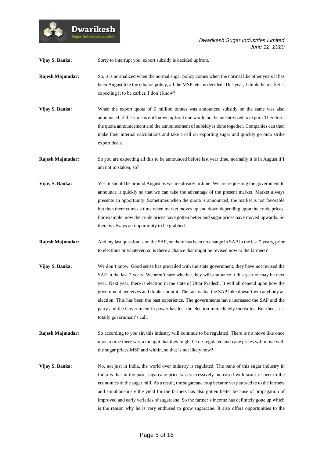

**Vijay S. Banka:** Sorry to interrupt you, export subsidy is decided upfront.

**Dwarikesh** sugar Industries Limite

- **Rajesh Majmudar:** So, it is normalized when the normal sugar policy comes when the normal like other years it has been August like the ethanol policy, all the MSP, etc. is decided. This year, I think the market is expecting it to be earlier, I don't know?
- **Vijay S. Banka:** When the export quota of 6 million tonnes was announced subsidy on the same was also announced. If the same is not known upfront one would not be incentivized to export. Therefore, the quota announcement and the announcement of subsidy is done together. Companies can then make their internal calculations and take a call on exporting sugar and quickly go onto strike export deals.

**Rajesh Majmudar:** So you are expecting all this to be announced before last year time, normally it is in August if I am not mistaken, so?

- **Vijay S. Banka:** Yes, it should be around August as we are already in June. We are requesting the government to announce it quickly so that we can take the advantage of the present market. Market always presents an opportunity. Sometimes when the quota is announced, the market is not favorable but then there comes a time when market moves up and down depending upon the crude prices. For example, now the crude prices have gotten better and sugar prices have moved upwards. So there is always an opportunity to be grabbed.
- **Rajesh Majmudar:** And my last question is on the SAP, so there has been no change in SAP in the last 2 years, prior to elections or whatever, so is there a chance that might be revised now to the farmers?
- **Vijay S. Banka:** We don't know. Good sense has prevailed with the state government, they have not revised the SAP in the last 2 years. We aren't sure whether they will announce it this year or may be next year. Next year, there is election in the state of Uttar Pradesh. It will all depend upon how the government perceives and thinks about it. The fact is that the SAP hike doesn't win anybody an election. This has been the past experience. The governments have increased the SAP and the party and the Government in power has lost the election immediately thereafter. But then, it is totally government's call.
- **Rajesh Majmudar:** So according to you sir, this industry will continue to be regulated. There is no move like once upon a time there was a thought that they might be de-regulated and cane prices will move with the sugar prices MSP and within, so that is not likely now?
- **Vijay S. Banka:** No, not just in India, the world over industry is regulated. The bane of this sugar industry in India is that in the past, sugarcane price was successively increased with scant respect to the economics of the sugar mill. As a result, the sugarcane crop became very attractive to the farmers and simultaneously the yield for the farmers has also gotten better because of propagation of improved and early varieties of sugarcane. So the farmer's income has definitely gone up which is the reason why he is very enthused to grow sugarcane. It also offers opportunities to the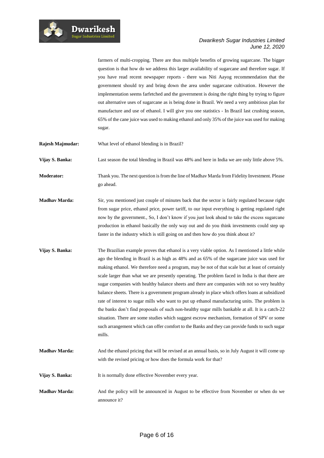

farmers of multi-cropping. There are thus multiple benefits of growing sugarcane. The bigger question is that how do we address this larger availability of sugarcane and therefore sugar. If you have read recent newspaper reports - there was Niti Aayog recommendation that the government should try and bring down the area under sugarcane cultivation. However the implementation seems farfetched and the government is doing the right thing by trying to figure out alternative uses of sugarcane as is being done in Brazil. We need a very ambitious plan for manufacture and use of ethanol. I will give you one statistics - In Brazil last crushing season, 65% of the cane juice was used to making ethanol and only 35% of the juice was used for making sugar.

**Rajesh Majmudar:** What level of ethanol blending is in Brazil?

**Vijay S. Banka:** Last season the total blending in Brazil was 48% and here in India we are only little above 5%.

- **Moderator:** Thank you. The next question is from the line of Madhav Marda from Fidelity Investment. Please go ahead.
- **Madhav Marda:** Sir, you mentioned just couple of minutes back that the sector is fairly regulated because right from sugar price, ethanol price, power tariff, to our input everything is getting regulated right now by the government., So, I don't know if you just look ahead to take the excess sugarcane production in ethanol basically the only way out and do you think investments could step up faster in the industry which is still going on and then how do you think about it?
- **Vijay S. Banka:** The Brazilian example proves that ethanol is a very viable option. As I mentioned a little while ago the blending in Brazil is as high as 48% and as 65% of the sugarcane juice was used for making ethanol. We therefore need a program, may be not of that scale but at least of certainly scale larger than what we are presently operating. The problem faced in India is that there are sugar companies with healthy balance sheets and there are companies with not so very healthy balance sheets. There is a government program already in place which offers loans at subsidized rate of interest to sugar mills who want to put up ethanol manufacturing units. The problem is the banks don't find proposals of such non-healthy sugar mills bankable at all. It is a catch-22 situation. There are some studies which suggest escrow mechanism, formation of SPV or some such arrangement which can offer comfort to the Banks and they can provide funds to such sugar mills.
- **Madhav Marda:** And the ethanol pricing that will be revised at an annual basis, so in July August it will come up with the revised pricing or how does the formula work for that?
- **Vijay S. Banka:** It is normally done effective November every year.
- **Madhav Marda:** And the policy will be announced in August to be effective from November or when do we announce it?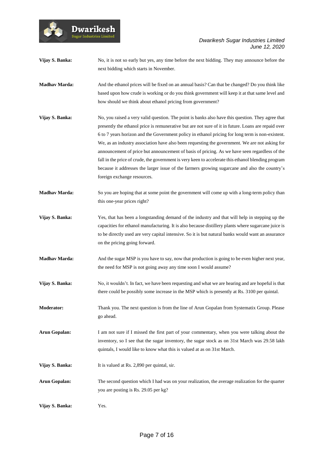**Vijay S. Banka:** No, it is not so early but yes, any time before the next bidding. They may announce before the next bidding which starts in November.

**Dwarikesh** sugar Industries Limite

**Madhav Marda:** And the ethanol prices will be fixed on an annual basis? Can that be changed? Do you think like based upon how crude is working or do you think government will keep it at that same level and how should we think about ethanol pricing from government?

- **Vijay S. Banka:** No, you raised a very valid question. The point is banks also have this question. They agree that presently the ethanol price is remunerative but are not sure of it in future. Loans are repaid over 6 to 7 years horizon and the Government policy in ethanol pricing for long term is non-existent. We, as an industry association have also been requesting the government. We are not asking for announcement of price but announcement of basis of pricing. As we have seen regardless of the fall in the price of crude, the government is very keen to accelerate this ethanol blending program because it addresses the larger issue of the farmers growing sugarcane and also the country's foreign exchange resources.
- **Madhav Marda:** So you are hoping that at some point the government will come up with a long-term policy than this one-year prices right?
- **Vijay S. Banka:** Yes, that has been a longstanding demand of the industry and that will help in stepping up the capacities for ethanol manufacturing. It is also because distillery plants where sugarcane juice is to be directly used are very capital intensive. So it is but natural banks would want an assurance on the pricing going forward.
- **Madhav Marda:** And the sugar MSP is you have to say, now that production is going to be even higher next year, the need for MSP is not going away any time soon I would assume?
- **Vijay S. Banka:** No, it wouldn't. In fact, we have been requesting and what we are hearing and are hopeful is that there could be possibly some increase in the MSP which is presently at Rs. 3100 per quintal.
- **Moderator:** Thank you. The next question is from the line of Arun Gopalan from Systematix Group. Please go ahead.

**Arun Gopalan:** I am not sure if I missed the first part of your commentary, when you were talking about the inventory, so I see that the sugar inventory, the sugar stock as on 31st March was 29.58 lakh quintals, I would like to know what this is valued at as on 31st March.

- **Vijay S. Banka:** It is valued at Rs. 2,890 per quintal, sir.
- **Arun Gopalan:** The second question which I had was on your realization, the average realization for the quarter you are posting is Rs. 29.05 per kg?
- **Vijay S. Banka:** Yes.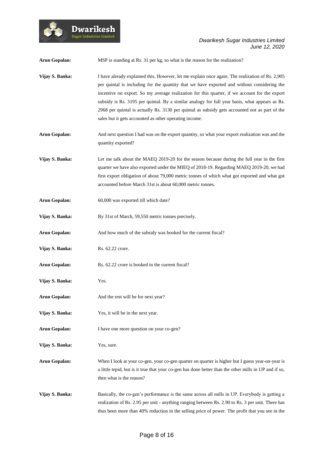

| <b>Arun Gopalan:</b> | MSP is standing at Rs. 31 per kg, so what is the reason for the realization?                                                                                                                                                                                                                                                                                                                                                                                                                                                                                  |
|----------------------|---------------------------------------------------------------------------------------------------------------------------------------------------------------------------------------------------------------------------------------------------------------------------------------------------------------------------------------------------------------------------------------------------------------------------------------------------------------------------------------------------------------------------------------------------------------|
| Vijay S. Banka:      | I have already explained this. However, let me explain once again. The realization of Rs. 2,905<br>per quintal is including for the quantity that we have exported and without considering the<br>incentive on export. So my average realization for this quarter, if we account for the export<br>subsidy is Rs. 3195 per quintal. By a similar analogy for full year basis, what appears as Rs.<br>2968 per quintal is actually Rs. 3130 per quintal as subsidy gets accounted not as part of the<br>sales but it gets accounted as other operating income. |
| <b>Arun Gopalan:</b> | And next question I had was on the export quantity, so what your export realization was and the<br>quantity exported?                                                                                                                                                                                                                                                                                                                                                                                                                                         |
| Vijay S. Banka:      | Let me talk about the MAEQ 2019-20 for the season because during the full year in the first<br>quarter we have also exported under the MIEQ of 2018-19. Regarding MAEQ 2019-20, we had<br>first export obligation of about 79,000 metric tonnes of which what got exported and what got<br>accounted before March 31st is about 60,000 metric tonnes.                                                                                                                                                                                                         |
| <b>Arun Gopalan:</b> | 60,000 was exported till which date?                                                                                                                                                                                                                                                                                                                                                                                                                                                                                                                          |
| Vijay S. Banka:      | By 31st of March, 59,550 metric tonnes precisely.                                                                                                                                                                                                                                                                                                                                                                                                                                                                                                             |
| <b>Arun Gopalan:</b> | And how much of the subsidy was booked for the current fiscal?                                                                                                                                                                                                                                                                                                                                                                                                                                                                                                |
| Vijay S. Banka:      | Rs. 62.22 crore.                                                                                                                                                                                                                                                                                                                                                                                                                                                                                                                                              |
| <b>Arun Gopalan:</b> | Rs. 62.22 crore is booked in the current fiscal?                                                                                                                                                                                                                                                                                                                                                                                                                                                                                                              |
| Vijay S. Banka:      | Yes.                                                                                                                                                                                                                                                                                                                                                                                                                                                                                                                                                          |
| <b>Arun Gopalan:</b> | And the rest will be for next year?                                                                                                                                                                                                                                                                                                                                                                                                                                                                                                                           |
| Vijay S. Banka:      | Yes, it will be in the next year.                                                                                                                                                                                                                                                                                                                                                                                                                                                                                                                             |
| <b>Arun Gopalan:</b> | I have one more question on your co-gen?                                                                                                                                                                                                                                                                                                                                                                                                                                                                                                                      |
| Vijay S. Banka:      | Yes, sure.                                                                                                                                                                                                                                                                                                                                                                                                                                                                                                                                                    |
| <b>Arun Gopalan:</b> | When I look at your co-gen, your co-gen quarter on quarter is higher but I guess year-on-year is<br>a little tepid, but is it true that your co-gen has done better than the other mills in UP and if so,<br>then what is the reason?                                                                                                                                                                                                                                                                                                                         |
| Vijay S. Banka:      | Basically, the co-gen's performance is the same across all mills in UP. Everybody is getting a<br>realization of Rs. 2.95 per unit - anything ranging between Rs. 2.90 to Rs. 3 per unit. There has<br>thus been more than 40% reduction in the selling price of power. The profit that you see in the                                                                                                                                                                                                                                                        |

Dwarikesh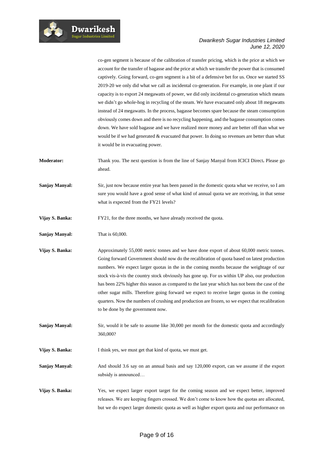

co-gen segment is because of the calibration of transfer pricing, which is the price at which we account for the transfer of bagasse and the price at which we transfer the power that is consumed captively. Going forward, co-gen segment is a bit of a defensive bet for us. Once we started SS 2019-20 we only did what we call as incidental co-generation. For example, in one plant if our capacity is to export 24 megawatts of power, we did only incidental co-generation which means we didn't go whole-hog in recycling of the steam. We have evacuated only about 18 megawatts instead of 24 megawatts. In the process, bagasse becomes spare because the steam consumption obviously comes down and there is no recycling happening, and the bagasse consumption comes down. We have sold bagasse and we have realized more money and are better off than what we would be if we had generated & evacuated that power. In doing so revenues are better than what it would be in evacuating power.

**Moderator:** Thank you. The next question is from the line of Sanjay Manyal from ICICI Direct**.** Please go ahead.

**Sanjay Manyal:** Sir, just now because entire year has been passed in the domestic quota what we receive, so I am sure you would have a good sense of what kind of annual quota we are receiving, in that sense what is expected from the FY21 levels?

**Vijay S. Banka:** FY21, for the three months, we have already received the quota.

**Sanjay Manyal:** That is 60,000.

Vijay S. Banka: Approximately 55,000 metric tonnes and we have done export of about 60,000 metric tonnes. Going forward Government should now do the recalibration of quota based on latest production numbers. We expect larger quotas in the in the coming months because the weightage of our stock vis-à-vis the country stock obviously has gone up. For us within UP also, our production has been 22% higher this season as compared to the last year which has not been the case of the other sugar mills. Therefore going forward we expect to receive larger quotas in the coming quarters. Now the numbers of crushing and production are frozen, so we expect that recalibration to be done by the government now.

**Sanjay Manyal:** Sir, would it be safe to assume like 30,000 per month for the domestic quota and accordingly 360,000?

**Vijay S. Banka:** I think yes, we must get that kind of quota, we must get.

**Sanjay Manyal:** And should 3.6 say on an annual basis and say 120,000 export, can we assume if the export subsidy is announced…

**Vijay S. Banka:** Yes, we expect larger export target for the coming season and we expect better, improved releases. We are keeping fingers crossed. We don't come to know how the quotas are allocated, but we do expect larger domestic quota as well as higher export quota and our performance on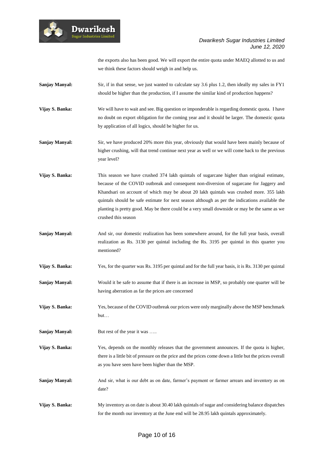

the exports also has been good. We will export the entire quota under MAEQ allotted to us and we think these factors should weigh in and help us.

**Sanjay Manyal:** Sir, if in that sense, we just wanted to calculate say 3.6 plus 1.2, then ideally my sales in FY1 should be higher than the production, if I assume the similar kind of production happens?

**Vijay S. Banka:** We will have to wait and see. Big question or imponderable is regarding domestic quota. I have no doubt on export obligation for the coming year and it should be larger. The domestic quota by application of all logics, should be higher for us.

**Sanjay Manyal:** Sir, we have produced 20% more this year, obviously that would have been mainly because of higher crushing, will that trend continue next year as well or we will come back to the previous year level?

**Vijay S. Banka:** This season we have crushed 374 lakh quintals of sugarcane higher than original estimate, because of the COVID outbreak and consequent non-diversion of sugarcane for Jaggery and Khandsari on account of which may be about 20 lakh quintals was crushed more. 355 lakh quintals should be safe estimate for next season although as per the indications available the planting is pretty good. May be there could be a very small downside or may be the same as we crushed this season

**Sanjay Manyal:** And sir, our domestic realization has been somewhere around, for the full year basis, overall realization as Rs. 3130 per quintal including the Rs. 3195 per quintal in this quarter you mentioned?

**Vijay S. Banka:** Yes, for the quarter was Rs. 3195 per quintal and for the full year basis, it is Rs. 3130 per quintal

**Sanjay Manyal:** Would it be safe to assume that if there is an increase in MSP, so probably one quarter will be having aberration as far the prices are concerned

**Vijay S. Banka:** Yes, because of the COVID outbreak our prices were only marginally above the MSP benchmark but…

**Sanjay Manyal:** But rest of the year it was .....

**Dwarikesh Sugar Industries Limite** 

**Vijay S. Banka:** Yes, depends on the monthly releases that the government announces. If the quota is higher, there is a little bit of pressure on the price and the prices come down a little but the prices overall as you have seen have been higher than the MSP.

Sanjay Manyal: And sir, what is our debt as on date, farmer's payment or farmer arrears and inventory as on date?

**Vijay S. Banka:** My inventory as on date is about 30.40 lakh quintals of sugar and considering balance dispatches for the month our inventory at the June end will be 28.95 lakh quintals approximately.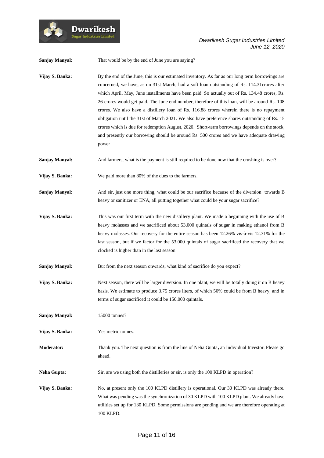

| Sanjay Manyal:        | That would be by the end of June you are saying?                                                                                                                                                                                                                                                                                                                                                                                                                                                                                                                                                                                                                                                                                                                                                     |
|-----------------------|------------------------------------------------------------------------------------------------------------------------------------------------------------------------------------------------------------------------------------------------------------------------------------------------------------------------------------------------------------------------------------------------------------------------------------------------------------------------------------------------------------------------------------------------------------------------------------------------------------------------------------------------------------------------------------------------------------------------------------------------------------------------------------------------------|
| Vijay S. Banka:       | By the end of the June, this is our estimated inventory. As far as our long term borrowings are<br>concerned, we have, as on 31st March, had a soft loan outstanding of Rs. 114.31 crores after<br>which April, May, June installments have been paid. So actually out of Rs. 134.48 crores, Rs.<br>26 crores would get paid. The June end number, therefore of this loan, will be around Rs. 108<br>crores. We also have a distillery loan of Rs. 116.88 crores wherein there is no repayment<br>obligation until the 31st of March 2021. We also have preference shares outstanding of Rs. 15<br>crores which is due for redemption August, 2020. Short-term borrowings depends on the stock,<br>and presently our borrowing should be around Rs. 500 crores and we have adequate drawing<br>power |
| Sanjay Manyal:        | And farmers, what is the payment is still required to be done now that the crushing is over?                                                                                                                                                                                                                                                                                                                                                                                                                                                                                                                                                                                                                                                                                                         |
| Vijay S. Banka:       | We paid more than 80% of the dues to the farmers.                                                                                                                                                                                                                                                                                                                                                                                                                                                                                                                                                                                                                                                                                                                                                    |
| <b>Sanjay Manyal:</b> | And sir, just one more thing, what could be our sacrifice because of the diversion towards B<br>heavy or sanitizer or ENA, all putting together what could be your sugar sacrifice?                                                                                                                                                                                                                                                                                                                                                                                                                                                                                                                                                                                                                  |
| Vijay S. Banka:       | This was our first term with the new distillery plant. We made a beginning with the use of B<br>heavy molasses and we sacrificed about 53,000 quintals of sugar in making ethanol from B<br>heavy molasses. Our recovery for the entire season has been 12.26% vis-à-vis 12.31% for the<br>last season, but if we factor for the 53,000 quintals of sugar sacrificed the recovery that we<br>clocked is higher than in the last season                                                                                                                                                                                                                                                                                                                                                               |
| <b>Sanjay Manyal:</b> | But from the next season onwards, what kind of sacrifice do you expect?                                                                                                                                                                                                                                                                                                                                                                                                                                                                                                                                                                                                                                                                                                                              |
| Vijay S. Banka:       | Next season, there will be larger diversion. In one plant, we will be totally doing it on B heavy<br>basis. We estimate to produce 3.75 crores liters, of which 50% could be from B heavy, and in<br>terms of sugar sacrificed it could be 150,000 quintals.                                                                                                                                                                                                                                                                                                                                                                                                                                                                                                                                         |
| Sanjay Manyal:        | 15000 tonnes?                                                                                                                                                                                                                                                                                                                                                                                                                                                                                                                                                                                                                                                                                                                                                                                        |
| Vijay S. Banka:       | Yes metric tonnes.                                                                                                                                                                                                                                                                                                                                                                                                                                                                                                                                                                                                                                                                                                                                                                                   |
| Moderator:            | Thank you. The next question is from the line of Neha Gupta, an Individual Investor. Please go<br>ahead.                                                                                                                                                                                                                                                                                                                                                                                                                                                                                                                                                                                                                                                                                             |
| <b>Neha Gupta:</b>    | Sir, are we using both the distilleries or sir, is only the 100 KLPD in operation?                                                                                                                                                                                                                                                                                                                                                                                                                                                                                                                                                                                                                                                                                                                   |
| Vijay S. Banka:       | No, at present only the 100 KLPD distillery is operational. Our 30 KLPD was already there.<br>What was pending was the synchronization of 30 KLPD with 100 KLPD plant. We already have<br>utilities set up for 130 KLPD. Some permissions are pending and we are therefore operating at<br>100 KLPD.                                                                                                                                                                                                                                                                                                                                                                                                                                                                                                 |

 $\boldsymbol{\operatorname{Dwarikesh}}$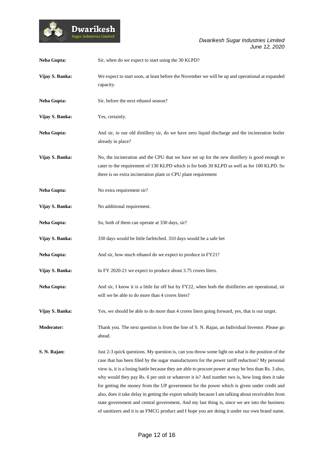

| <b>Neha Gupta:</b> | Sir, when do we expect to start using the 30 KLPD?                                                                                                                                                                                                                                                                                                                                                                                                                                                                                                                                                                                                                                                                                                                                                                   |
|--------------------|----------------------------------------------------------------------------------------------------------------------------------------------------------------------------------------------------------------------------------------------------------------------------------------------------------------------------------------------------------------------------------------------------------------------------------------------------------------------------------------------------------------------------------------------------------------------------------------------------------------------------------------------------------------------------------------------------------------------------------------------------------------------------------------------------------------------|
| Vijay S. Banka:    | We expect to start soon, at least before the November we will be up and operational at expanded<br>capacity.                                                                                                                                                                                                                                                                                                                                                                                                                                                                                                                                                                                                                                                                                                         |
| <b>Neha Gupta:</b> | Sir, before the next ethanol season?                                                                                                                                                                                                                                                                                                                                                                                                                                                                                                                                                                                                                                                                                                                                                                                 |
| Vijay S. Banka:    | Yes, certainly.                                                                                                                                                                                                                                                                                                                                                                                                                                                                                                                                                                                                                                                                                                                                                                                                      |
| <b>Neha Gupta:</b> | And sir, in our old distillery sir, do we have zero liquid discharge and the incineration boiler<br>already in place?                                                                                                                                                                                                                                                                                                                                                                                                                                                                                                                                                                                                                                                                                                |
| Vijay S. Banka:    | No, the incineration and the CPU that we have set up for the new distillery is good enough to<br>cater to the requirement of 130 KLPD which is for both 30 KLPD as well as for 100 KLPD. So<br>there is no extra incineration plant or CPU plant requirement                                                                                                                                                                                                                                                                                                                                                                                                                                                                                                                                                         |
| <b>Neha Gupta:</b> | No extra requirement sir?                                                                                                                                                                                                                                                                                                                                                                                                                                                                                                                                                                                                                                                                                                                                                                                            |
| Vijay S. Banka:    | No additional requirement.                                                                                                                                                                                                                                                                                                                                                                                                                                                                                                                                                                                                                                                                                                                                                                                           |
| <b>Neha Gupta:</b> | So, both of them can operate at 330 days, sir?                                                                                                                                                                                                                                                                                                                                                                                                                                                                                                                                                                                                                                                                                                                                                                       |
| Vijay S. Banka:    | 330 days would be little farfetched. 310 days would be a safe bet                                                                                                                                                                                                                                                                                                                                                                                                                                                                                                                                                                                                                                                                                                                                                    |
| <b>Neha Gupta:</b> | And sir, how much ethanol do we expect to produce in FY21?                                                                                                                                                                                                                                                                                                                                                                                                                                                                                                                                                                                                                                                                                                                                                           |
| Vijay S. Banka:    | In FY 2020-21 we expect to produce about 3.75 crores liters.                                                                                                                                                                                                                                                                                                                                                                                                                                                                                                                                                                                                                                                                                                                                                         |
| <b>Neha Gupta:</b> | And sir, I know it is a little far off but by FY22, when both the distilleries are operational, sir<br>will we be able to do more than 4 crores liters?                                                                                                                                                                                                                                                                                                                                                                                                                                                                                                                                                                                                                                                              |
| Vijay S. Banka:    | Yes, we should be able to do more than 4 crores liters going forward, yes, that is our target.                                                                                                                                                                                                                                                                                                                                                                                                                                                                                                                                                                                                                                                                                                                       |
| Moderator:         | Thank you. The next question is from the line of S. N. Rajan, an Individual Investor. Please go<br>ahead.                                                                                                                                                                                                                                                                                                                                                                                                                                                                                                                                                                                                                                                                                                            |
| S. N. Rajan:       | Just 2-3 quick questions. My question is, can you throw some light on what is the position of the<br>case that has been filed by the sugar manufacturers for the power tariff reduction? My personal<br>view is, it is a losing battle because they are able to procure power at may be less than Rs. 3 also,<br>why would they pay Rs. 6 per unit or whatever it is? And number two is, how long does it take<br>for getting the money from the UP government for the power which is given under credit and<br>also, does it take delay in getting the export subsidy because I am talking about receivables from<br>state government and central government, And my last thing is, since we are into the business<br>of sanitizers and it is an FMCG product and I hope you are doing it under our own brand name. |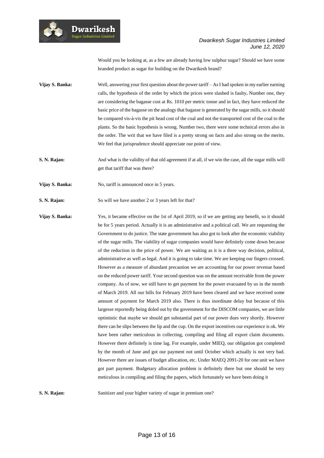

Would you be looking at, as a few are already having low sulphur sugar? Should we have some branded product as sugar for building on the Dwarikesh brand?

- **Vijay S. Banka:** Well, answering your first question about the power tariff As I had spoken in my earlier earning calls, the hypothesis of the order by which the prices were slashed is faulty**.** Number one, they are considering the bagasse cost at Rs. 1010 per metric tonne and in fact, they have reduced the basic price of the bagasse on the analogy that bagasse is generated by the sugar mills, so it should be compared vis-à-vis the pit head cost of the coal and not the transported cost of the coal to the plants. So the basic hypothesis is wrong. Number two, there were some technical errors also in the order. The writ that we have filed is a pretty strong on facts and also strong on the merits. We feel that jurisprudence should appreciate our point of view.
- **S. N. Rajan:** And what is the validity of that old agreement if at all, if we win the case, all the sugar mills will get that tariff that was there?
- **Vijay S. Banka:** No, tariff is announced once in 5 years.

**Dwarikesh** .<br>Sugar Industries Limit

- **S. N. Rajan:** So will we have another 2 or 3 years left for that?
- **Vijay S. Banka:** Yes, it became effective on the 1st of April 2019, so if we are getting any benefit, so it should be for 5 years period. Actually it is an administrative and a political call. We are requesting the Government to do justice. The state government has also got to look after the economic viability of the sugar mills. The viability of sugar companies would have definitely come down because of the reduction in the price of power. We are waiting as it is a three way decision, political, administrative as well as legal. And it is going to take time. We are keeping our fingers crossed. However as a measure of abundant precaution we are accounting for our power revenue based on the reduced power tariff. Your second question was on the amount receivable from the power company. As of now, we still have to get payment for the power evacuated by us in the month of March 2019. All our bills for February 2019 have been cleared and we have received some amount of payment for March 2019 also. There is thus inordinate delay but because of this largesse reportedly being doled out by the government for the DISCOM companies, we are little optimistic that maybe we should get substantial part of our power dues very shortly. However there can be slips between the lip and the cup. On the export incentives our experience is ok. We have been rather meticulous in collecting, compiling and filing all export claim documents. However there definitely is time lag. For example, under MIEQ, our obligation got completed by the month of June and got our payment not until October which actually is not very bad. However there are issues of budget allocation, etc. Under MAEQ 2091-20 for one unit we have got part payment. Budgetary allocation problem is definitely there but one should be very meticulous in compiling and filing the papers, which fortunately we have been doing it

**S. N. Rajan:** Sanitizer and your higher variety of sugar in premium one?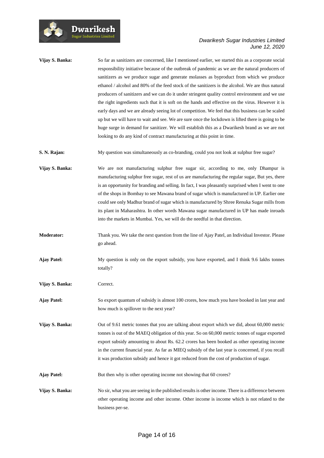

| Vijay S. Banka: | So far as sanitizers are concerned, like I mentioned earlier, we started this as a corporate social |
|-----------------|-----------------------------------------------------------------------------------------------------|
|                 | responsibility initiative because of the outbreak of pandemic as we are the natural producers of    |
|                 | sanitizers as we produce sugar and generate molasses as byproduct from which we produce             |
|                 | ethanol / alcohol and 80% of the feed stock of the sanitizers is the alcohol. We are thus natural   |
|                 | producers of sanitizers and we can do it under stringent quality control environment and we use     |
|                 | the right ingredients such that it is soft on the hands and effective on the virus. However it is   |
|                 | early days and we are already seeing lot of competition. We feel that this business can be scaled   |
|                 | up but we will have to wait and see. We are sure once the lockdown is lifted there is going to be   |
|                 | huge surge in demand for sanitizer. We will establish this as a Dwarikesh brand as we are not       |
|                 | looking to do any kind of contract manufacturing at this point in time.                             |
|                 |                                                                                                     |

**S. N. Rajan:** My question was simultaneously as co-branding, could you not look at sulphur free sugar?

**Vijay S. Banka:** We are not manufacturing sulphur free sugar sir, according to me, only Dhampur is manufacturing sulphur free sugar, rest of us are manufacturing the regular sugar, But yes, there is an opportunity for branding and selling. In fact, I was pleasantly surprised when I went to one of the shops in Bombay to see Mawana brand of sugar which is manufactured in UP. Earlier one could see only Madhur brand of sugar which is manufactured by Shree Renuka Sugar mills from its plant in Maharashtra. In other words Mawana sugar manufactured in UP has made inroads into the markets in Mumbai. Yes, we will do the needful in that direction.

- **Moderator:** Thank you. We take the next question from the line of Ajay Patel, an Individual Investor. Please go ahead.
- **Ajay Patel:** My question is only on the export subsidy, you have exported, and I think 9.6 lakhs tonnes totally?
- **Vijay S. Banka:** Correct.

**Ajay Patel:** So export quantum of subsidy is almost 100 crores, how much you have booked in last year and how much is spillover to the next year?

**Vijay S. Banka:** Out of 9.61 metric tonnes that you are talking about export which we did, about 60,000 metric tonnes is out of the MAEQ obligation of this year. So on 60,000 metric tonnes of sugar exported export subsidy amounting to about Rs. 62.2 crores has been booked as other operating income in the current financial year. As far as MIEQ subsidy of the last year is concerned, if you recall it was production subsidy and hence it got reduced from the cost of production of sugar.

Ajay Patel: But then why is other operating income not showing that 60 crores?

**Vijay S. Banka:** No sir, what you are seeing in the published results is other income. There is a difference between other operating income and other income. Other income is income which is not related to the business per-se.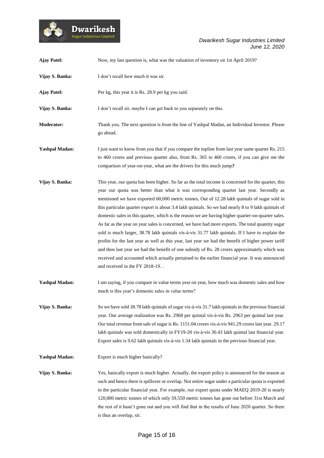

| <b>Ajay Patel:</b>    | Now, my last question is, what was the valuation of inventory on 1st April 2019?                                                                                                                                                                                                                                                                                                                                                                                                                                                                                                                                                                                                                                                                                                                                                                                                                                                                                                                                                                                  |
|-----------------------|-------------------------------------------------------------------------------------------------------------------------------------------------------------------------------------------------------------------------------------------------------------------------------------------------------------------------------------------------------------------------------------------------------------------------------------------------------------------------------------------------------------------------------------------------------------------------------------------------------------------------------------------------------------------------------------------------------------------------------------------------------------------------------------------------------------------------------------------------------------------------------------------------------------------------------------------------------------------------------------------------------------------------------------------------------------------|
| Vijay S. Banka:       | I don't recall how much it was sir.                                                                                                                                                                                                                                                                                                                                                                                                                                                                                                                                                                                                                                                                                                                                                                                                                                                                                                                                                                                                                               |
| <b>Ajay Patel:</b>    | Per kg, this year it is Rs. 28.9 per kg you said.                                                                                                                                                                                                                                                                                                                                                                                                                                                                                                                                                                                                                                                                                                                                                                                                                                                                                                                                                                                                                 |
| Vijay S. Banka:       | I don't recall sir, maybe I can get back to you separately on this.                                                                                                                                                                                                                                                                                                                                                                                                                                                                                                                                                                                                                                                                                                                                                                                                                                                                                                                                                                                               |
| <b>Moderator:</b>     | Thank you. The next question is from the line of Yashpal Madan, an Individual Investor. Please<br>go ahead.                                                                                                                                                                                                                                                                                                                                                                                                                                                                                                                                                                                                                                                                                                                                                                                                                                                                                                                                                       |
| <b>Yashpal Madan:</b> | I just want to know from you that if you compare the topline from last year same quarter Rs. 215<br>to 460 crores and previous quarter also, from Rs. 365 to 460 crores, if you can give me the<br>comparison of year-on-year, what are the drivers for this much jump?                                                                                                                                                                                                                                                                                                                                                                                                                                                                                                                                                                                                                                                                                                                                                                                           |
| Vijay S. Banka:       | This year, our quota has been higher. So far as the total income is concerned for the quarter, this<br>year our quota was better than what it was corresponding quarter last year. Secondly as<br>mentioned we have exported 60,000 metric tonnes, Out of 12.28 lakh quintals of sugar sold in<br>this particular quarter export is about 3.4 lakh quintals. So we had nearly 8 to 9 lakh quintals of<br>domestic sales in this quarter, which is the reason we are having higher quarter-on-quarter sales.<br>As far as the year on year sales is concerned, we have had more exports. The total quantity sugar<br>sold is much larger, 38.78 lakh quintals vis-à-vis 31.77 lakh quintals. If I have to explain the<br>profits for the last year as well as this year, last year we had the benefit of higher power tariff<br>and then last year we had the benefit of one subsidy of Rs. 28 crores approximately which was<br>received and accounted which actually pertained to the earlier financial year. It was announced<br>and received in the FY 2018-19 |
| <b>Yashpal Madan:</b> | I am saying, if you compare in value terms year on year, how much was domestic sales and how<br>much is this year's domestic sales in value terms?                                                                                                                                                                                                                                                                                                                                                                                                                                                                                                                                                                                                                                                                                                                                                                                                                                                                                                                |
| Vijay S. Banka:       | So we have sold 38.78 lakh quintals of sugar vis-à-vis 31.7 lakh quintals in the previous financial<br>year. Our average realization was Rs. 2968 per quintal vis-à-vis Rs. 2963 per quintal last year.<br>Our total revenue from sale of sugar is Rs. 1151.04 crores vis-à-vis 941.29 crores last year. 29.17<br>lakh quintals was sold domestically in FY19-20 vis-à-vis 30.43 lakh quintal last financial year.<br>Export sales is 9.62 lakh quintals vis-à-vis 1.34 lakh quintals in the previous financial year.                                                                                                                                                                                                                                                                                                                                                                                                                                                                                                                                             |
| <b>Yashpal Madan:</b> | Export is much higher basically?                                                                                                                                                                                                                                                                                                                                                                                                                                                                                                                                                                                                                                                                                                                                                                                                                                                                                                                                                                                                                                  |
| Vijay S. Banka:       | Yes, basically export is much higher. Actually, the export policy is announced for the season as<br>such and hence there is spillover or overlap. Not entire sugar under a particular quota is exported<br>in the particular financial year. For example, our export quota under MAEQ 2019-20 is nearly<br>120,000 metric tonnes of which only 59,550 metric tonnes has gone out before 31st March and<br>the rest of it hasn't gone out and you will find that in the results of June 2020 quarter. So there<br>is thus an overlap, sir.                                                                                                                                                                                                                                                                                                                                                                                                                                                                                                                         |